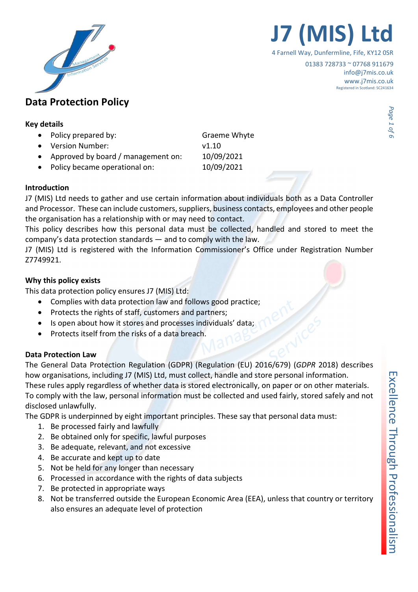

## **J7 (MIS)**

4 Farnell Way, Dunfermline, Fife, KY12 0SR

01383 728733 ~ 07768 911679 info@j7mis.co.uk www.j7mis.co.uk Registered in Scotland: SC241634

# **Data Protection Policy<br>
Key details**<br>
• Policy prepared by: Graeme Whyte<br> **Craeme Whyte**

- Policy prepared by: Graeme Whyte
- Version Number: v1.10
- Approved by board / management on: 10/09/2021
- Policy became operational on: 10/09/2021

#### Introduction

J7 (MIS) Ltd needs to gather and use certain information about individuals both as a Data Controller and Processor. These can include customers, suppliers, business contacts, employees and other people the organisation has a relationship with or may need to contact.

This policy describes how this personal data must be collected, handled and stored to meet the company's data protection standards — and to comply with the law.

J7 (MIS) Ltd is registered with the Information Commissioner's Office under Registration Number Z7749921.

#### Why this policy exists

This data protection policy ensures J7 (MIS) Ltd:

- Complies with data protection law and follows good practice;
- Protects the rights of staff, customers and partners;
- Is open about how it stores and processes individuals' data;
- Protects itself from the risks of a data breach.

#### Data Protection Law

The General Data Protection Regulation (GDPR) (Regulation (EU) 2016/679) (GDPR 2018) describes how organisations, including J7 (MIS) Ltd, must collect, handle and store personal information. These rules apply regardless of whether data is stored electronically, on paper or on other materials. To comply with the law, personal information must be collected and used fairly, stored safely and not disclosed unlawfully.

The GDPR is underpinned by eight important principles. These say that personal data must:

- 1. Be processed fairly and lawfully
- 2. Be obtained only for specific, lawful purposes
- 3. Be adequate, relevant, and not excessive
- 4. Be accurate and kept up to date
- 5. Not be held for any longer than necessary
- 6. Processed in accordance with the rights of data subjects
- 7. Be protected in appropriate ways
- 8. Not be transferred outside the European Economic Area (EEA), unless that country or territory also ensures an adequate level of protection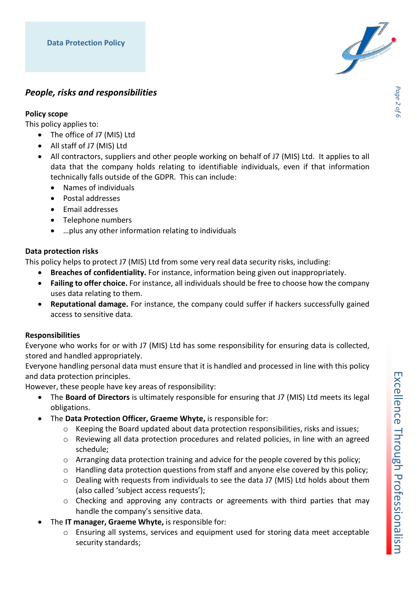

### People, risks and responsibilities

#### Policy scope

This policy applies to:

- The office of J7 (MIS) Ltd
- All staff of J7 (MIS) Ltd
- All contractors, suppliers and other people working on behalf of J7 (MIS) Ltd. It applies to all data that the company holds relating to identifiable individuals, even if that information technically falls outside of the GDPR. This can include:
	- Names of individuals
	- Postal addresses
	- Email addresses
	- Telephone numbers
	- …plus any other information relating to individuals

#### Data protection risks

This policy helps to protect J7 (MIS) Ltd from some very real data security risks, including:

- Breaches of confidentiality. For instance, information being given out inappropriately.
- Failing to offer choice. For instance, all individuals should be free to choose how the company uses data relating to them.
- Reputational damage. For instance, the company could suffer if hackers successfully gained access to sensitive data.

#### Responsibilities

Everyone who works for or with J7 (MIS) Ltd has some responsibility for ensuring data is collected, stored and handled appropriately.

Everyone handling personal data must ensure that it is handled and processed in line with this policy and data protection principles.

However, these people have key areas of responsibility:

- The Board of Directors is ultimately responsible for ensuring that J7 (MIS) Ltd meets its legal obligations.
- The Data Protection Officer, Graeme Whyte, is responsible for:
	- o Keeping the Board updated about data protection responsibilities, risks and issues;
	- $\circ$  Reviewing all data protection procedures and related policies, in line with an agreed schedule;
	- $\circ$  Arranging data protection training and advice for the people covered by this policy;
	- o Handling data protection questions from staff and anyone else covered by this policy;
	- o Dealing with requests from individuals to see the data J7 (MIS) Ltd holds about them (also called 'subject access requests');
	- $\circ$  Checking and approving any contracts or agreements with third parties that may handle the company's sensitive data.
- The IT manager, Graeme Whyte, is responsible for:
	- $\circ$  Ensuring all systems, services and equipment used for storing data meet acceptable security standards;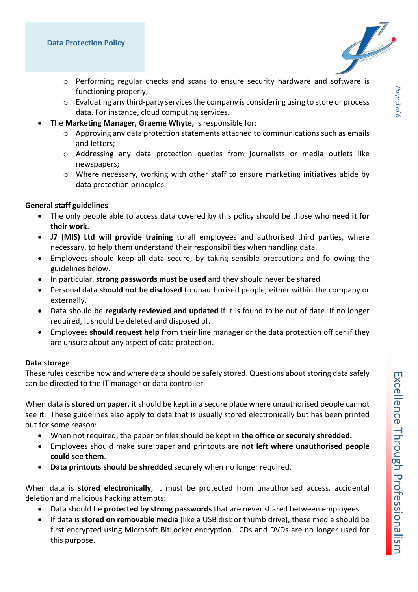Commons S



- o Performing regular checks and scans to ensure security hardware and software is functioning properly;
- $\circ$  Evaluating any third-party services the company is considering using to store or process data. For instance, cloud computing services.
- The Marketing Manager, Graeme Whyte, is responsible for:
	- o Approving any data protection statements attached to communications such as emails and letters;
	- o Addressing any data protection queries from journalists or media outlets like newspapers;
	- o Where necessary, working with other staff to ensure marketing initiatives abide by data protection principles.

#### General staff guidelines

- The only people able to access data covered by this policy should be those who need it for their work.
- J7 (MIS) Ltd will provide training to all employees and authorised third parties, where necessary, to help them understand their responsibilities when handling data.
- Employees should keep all data secure, by taking sensible precautions and following the guidelines below.
- In particular, strong passwords must be used and they should never be shared.
- **•** Personal data should not be disclosed to unauthorised people, either within the company or externally.
- Data should be regularly reviewed and updated if it is found to be out of date. If no longer required, it should be deleted and disposed of.
- Employees should request help from their line manager or the data protection officer if they are unsure about any aspect of data protection.

#### Data storage

These rules describe how and where data should be safely stored. Questions about storing data safely can be directed to the IT manager or data controller.

When data is **stored on paper,** it should be kept in a secure place where unauthorised people cannot see it. These guidelines also apply to data that is usually stored electronically but has been printed out for some reason:

- When not required, the paper or files should be kept in the office or securely shredded.
- Employees should make sure paper and printouts are not left where unauthorised people could see them.
- Data printouts should be shredded securely when no longer required.

When data is stored electronically, it must be protected from unauthorised access, accidental deletion and malicious hacking attempts:

- Data should be **protected by strong passwords** that are never shared between employees.
- If data is stored on removable media (like a USB disk or thumb drive), these media should be first encrypted using Microsoft BitLocker encryption. CDs and DVDs are no longer used for this purpose.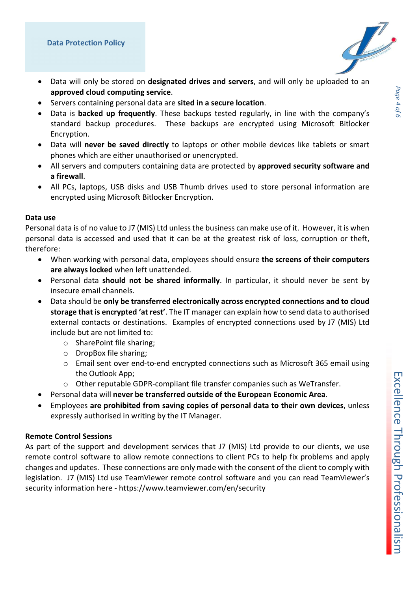

- Data will only be stored on designated drives and servers, and will only be uploaded to an approved cloud computing service.
- Servers containing personal data are sited in a secure location.
- Data is **backed up frequently**. These backups tested regularly, in line with the company's standard backup procedures. These backups are encrypted using Microsoft Bitlocker Encryption.
- Data will never be saved directly to laptops or other mobile devices like tablets or smart phones which are either unauthorised or unencrypted.
- All servers and computers containing data are protected by approved security software and a firewall.
- All PCs, laptops, USB disks and USB Thumb drives used to store personal information are encrypted using Microsoft Bitlocker Encryption.

#### Data use

Personal data is of no value to J7 (MIS) Ltd unless the business can make use of it. However, it is when personal data is accessed and used that it can be at the greatest risk of loss, corruption or theft, therefore:

- When working with personal data, employees should ensure the screens of their computers are always locked when left unattended.
- Personal data should not be shared informally. In particular, it should never be sent by insecure email channels.
- Data should be only be transferred electronically across encrypted connections and to cloud storage that is encrypted 'at rest'. The IT manager can explain how to send data to authorised external contacts or destinations. Examples of encrypted connections used by J7 (MIS) Ltd include but are not limited to:
	- o SharePoint file sharing;
	- o DropBox file sharing;
	- o Email sent over end-to-end encrypted connections such as Microsoft 365 email using the Outlook App;
	- o Other reputable GDPR-compliant file transfer companies such as WeTransfer.
- Personal data will never be transferred outside of the European Economic Area.
- Employees are prohibited from saving copies of personal data to their own devices, unless expressly authorised in writing by the IT Manager.

#### Remote Control Sessions

As part of the support and development services that J7 (MIS) Ltd provide to our clients, we use remote control software to allow remote connections to client PCs to help fix problems and apply changes and updates. These connections are only made with the consent of the client to comply with legislation. J7 (MIS) Ltd use TeamViewer remote control software and you can read TeamViewer's security information here - https://www.teamviewer.com/en/security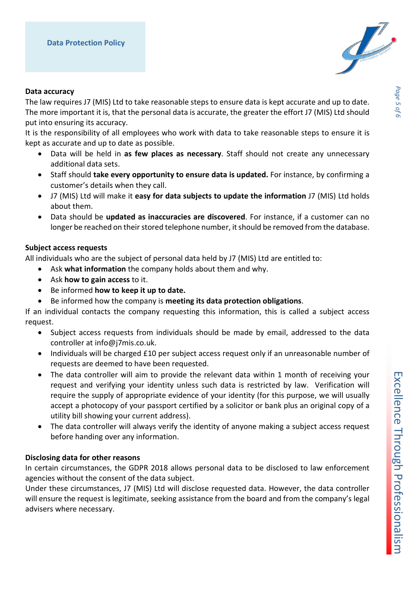

#### Data accuracy

The law requires J7 (MIS) Ltd to take reasonable steps to ensure data is kept accurate and up to date. The more important it is, that the personal data is accurate, the greater the effort J7 (MIS) Ltd should put into ensuring its accuracy.

It is the responsibility of all employees who work with data to take reasonable steps to ensure it is kept as accurate and up to date as possible.

- Data will be held in as few places as necessary. Staff should not create any unnecessary additional data sets.
- Staff should take every opportunity to ensure data is updated. For instance, by confirming a customer's details when they call.
- J7 (MIS) Ltd will make it easy for data subjects to update the information J7 (MIS) Ltd holds about them.
- Data should be updated as inaccuracies are discovered. For instance, if a customer can no longer be reached on their stored telephone number, it should be removed from the database.

#### Subject access requests

All individuals who are the subject of personal data held by J7 (MIS) Ltd are entitled to:

- Ask what information the company holds about them and why.
- Ask how to gain access to it.
- Be informed how to keep it up to date.
- Be informed how the company is meeting its data protection obligations.

If an individual contacts the company requesting this information, this is called a subject access request.

- Subject access requests from individuals should be made by email, addressed to the data controller at info@j7mis.co.uk.
- Individuals will be charged £10 per subject access request only if an unreasonable number of requests are deemed to have been requested.
- The data controller will aim to provide the relevant data within 1 month of receiving your request and verifying your identity unless such data is restricted by law. Verification will require the supply of appropriate evidence of your identity (for this purpose, we will usually accept a photocopy of your passport certified by a solicitor or bank plus an original copy of a utility bill showing your current address).
- The data controller will always verify the identity of anyone making a subject access request before handing over any information.

#### Disclosing data for other reasons

In certain circumstances, the GDPR 2018 allows personal data to be disclosed to law enforcement agencies without the consent of the data subject.

Under these circumstances, J7 (MIS) Ltd will disclose requested data. However, the data controller will ensure the request is legitimate, seeking assistance from the board and from the company's legal advisers where necessary.